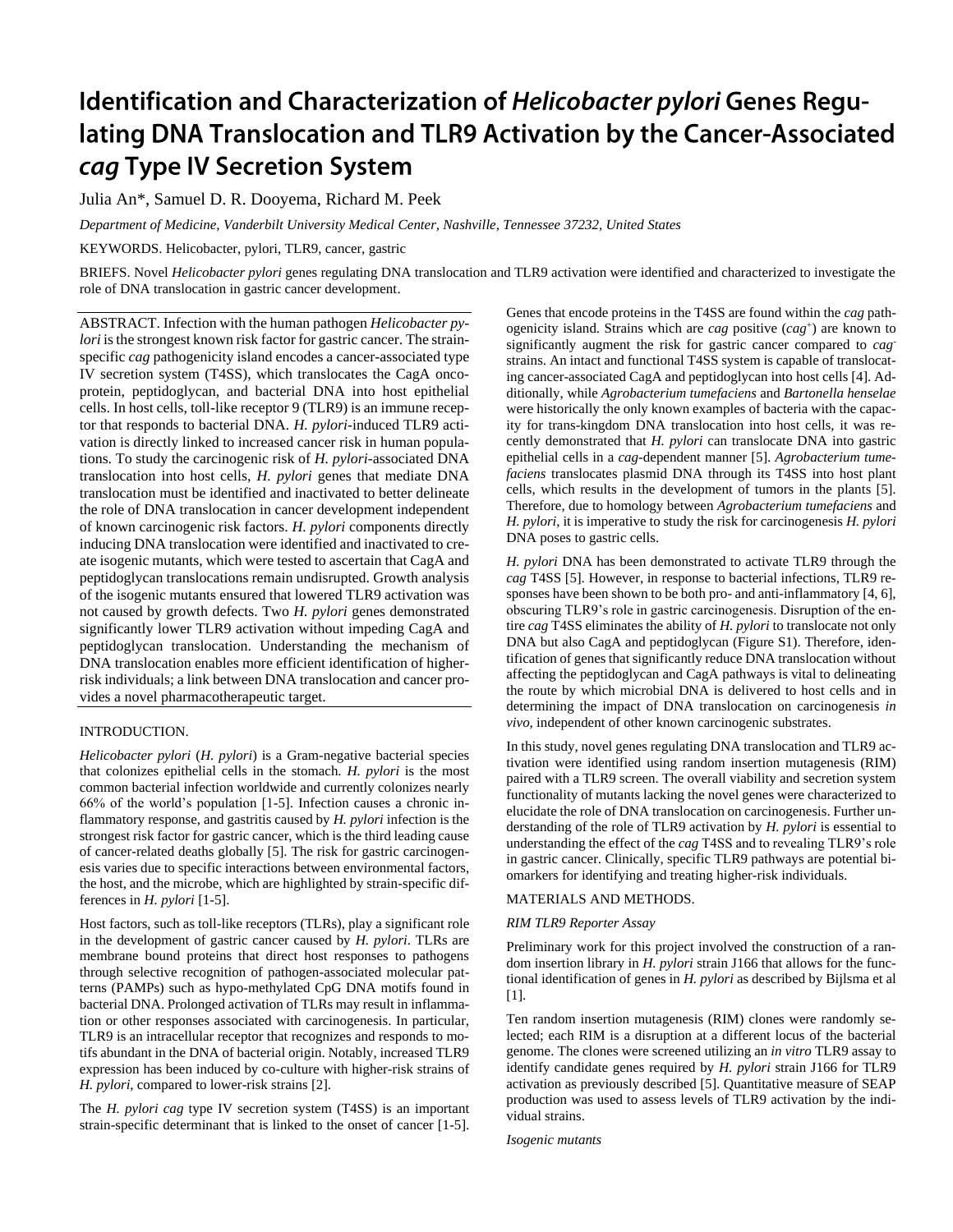# Identification and Characterization of Helicobacter pylori Genes Regulating DNA Translocation and TLR9 Activation by the Cancer-Associated cag Type IV Secretion System

Julia An\*, Samuel D. R. Dooyema, Richard M. Peek

*Department of Medicine, Vanderbilt University Medical Center, Nashville, Tennessee 37232, United States*

KEYWORDS. Helicobacter, pylori, TLR9, cancer, gastric

BRIEFS. Novel *Helicobacter pylori* genes regulating DNA translocation and TLR9 activation were identified and characterized to investigate the role of DNA translocation in gastric cancer development.

ABSTRACT. Infection with the human pathogen *Helicobacter pylori* is the strongest known risk factor for gastric cancer. The strainspecific *cag* pathogenicity island encodes a cancer-associated type IV secretion system (T4SS), which translocates the CagA oncoprotein, peptidoglycan, and bacterial DNA into host epithelial cells. In host cells, toll-like receptor 9 (TLR9) is an immune receptor that responds to bacterial DNA. *H. pylori*-induced TLR9 activation is directly linked to increased cancer risk in human populations. To study the carcinogenic risk of *H. pylori*-associated DNA translocation into host cells, *H. pylori* genes that mediate DNA translocation must be identified and inactivated to better delineate the role of DNA translocation in cancer development independent of known carcinogenic risk factors. *H. pylori* components directly inducing DNA translocation were identified and inactivated to create isogenic mutants, which were tested to ascertain that CagA and peptidoglycan translocations remain undisrupted. Growth analysis of the isogenic mutants ensured that lowered TLR9 activation was not caused by growth defects. Two *H. pylori* genes demonstrated significantly lower TLR9 activation without impeding CagA and peptidoglycan translocation. Understanding the mechanism of DNA translocation enables more efficient identification of higherrisk individuals; a link between DNA translocation and cancer provides a novel pharmacotherapeutic target.

## INTRODUCTION.

*Helicobacter pylori* (*H. pylori*) is a Gram-negative bacterial species that colonizes epithelial cells in the stomach. *H. pylori* is the most common bacterial infection worldwide and currently colonizes nearly 66% of the world's population [1-5]. Infection causes a chronic inflammatory response, and gastritis caused by *H. pylori* infection is the strongest risk factor for gastric cancer, which is the third leading cause of cancer-related deaths globally [5]. The risk for gastric carcinogenesis varies due to specific interactions between environmental factors, the host, and the microbe, which are highlighted by strain-specific differences in *H. pylori* [1-5].

Host factors, such as toll-like receptors (TLRs), play a significant role in the development of gastric cancer caused by *H. pylori*. TLRs are membrane bound proteins that direct host responses to pathogens through selective recognition of pathogen-associated molecular patterns (PAMPs) such as hypo-methylated CpG DNA motifs found in bacterial DNA. Prolonged activation of TLRs may result in inflammation or other responses associated with carcinogenesis. In particular, TLR9 is an intracellular receptor that recognizes and responds to motifs abundant in the DNA of bacterial origin. Notably, increased TLR9 expression has been induced by co-culture with higher-risk strains of *H. pylori*, compared to lower-risk strains [2].

The *H. pylori cag* type IV secretion system (T4SS) is an important strain-specific determinant that is linked to the onset of cancer [1-5]. Genes that encode proteins in the T4SS are found within the *cag* pathogenicity island. Strains which are *cag* positive (*cag*<sup>+</sup> ) are known to significantly augment the risk for gastric cancer compared to *cag*strains. An intact and functional T4SS system is capable of translocating cancer-associated CagA and peptidoglycan into host cells [4]. Additionally, while *Agrobacterium tumefaciens* and *Bartonella henselae* were historically the only known examples of bacteria with the capacity for trans-kingdom DNA translocation into host cells, it was recently demonstrated that *H. pylori* can translocate DNA into gastric epithelial cells in a *cag*-dependent manner [5]. *Agrobacterium tumefaciens* translocates plasmid DNA through its T4SS into host plant cells, which results in the development of tumors in the plants [5]. Therefore, due to homology between *Agrobacterium tumefaciens* and *H. pylori*, it is imperative to study the risk for carcinogenesis *H. pylori* DNA poses to gastric cells.

*H. pylori* DNA has been demonstrated to activate TLR9 through the *cag* T4SS [5]. However, in response to bacterial infections, TLR9 responses have been shown to be both pro- and anti-inflammatory [4, 6], obscuring TLR9's role in gastric carcinogenesis. Disruption of the entire *cag* T4SS eliminates the ability of *H. pylori* to translocate not only DNA but also CagA and peptidoglycan (Figure S1). Therefore, identification of genes that significantly reduce DNA translocation without affecting the peptidoglycan and CagA pathways is vital to delineating the route by which microbial DNA is delivered to host cells and in determining the impact of DNA translocation on carcinogenesis *in vivo*, independent of other known carcinogenic substrates.

In this study, novel genes regulating DNA translocation and TLR9 activation were identified using random insertion mutagenesis (RIM) paired with a TLR9 screen. The overall viability and secretion system functionality of mutants lacking the novel genes were characterized to elucidate the role of DNA translocation on carcinogenesis. Further understanding of the role of TLR9 activation by *H. pylori* is essential to understanding the effect of the *cag* T4SS and to revealing TLR9's role in gastric cancer. Clinically, specific TLR9 pathways are potential biomarkers for identifying and treating higher-risk individuals.

# MATERIALS AND METHODS.

## *RIM TLR9 Reporter Assay*

Preliminary work for this project involved the construction of a random insertion library in *H. pylori* strain J166 that allows for the functional identification of genes in *H. pylori* as described by Bijlsma et al [1].

Ten random insertion mutagenesis (RIM) clones were randomly selected; each RIM is a disruption at a different locus of the bacterial genome. The clones were screened utilizing an *in vitro* TLR9 assay to identify candidate genes required by *H. pylori* strain J166 for TLR9 activation as previously described [5]. Quantitative measure of SEAP production was used to assess levels of TLR9 activation by the individual strains.

*Isogenic mutants*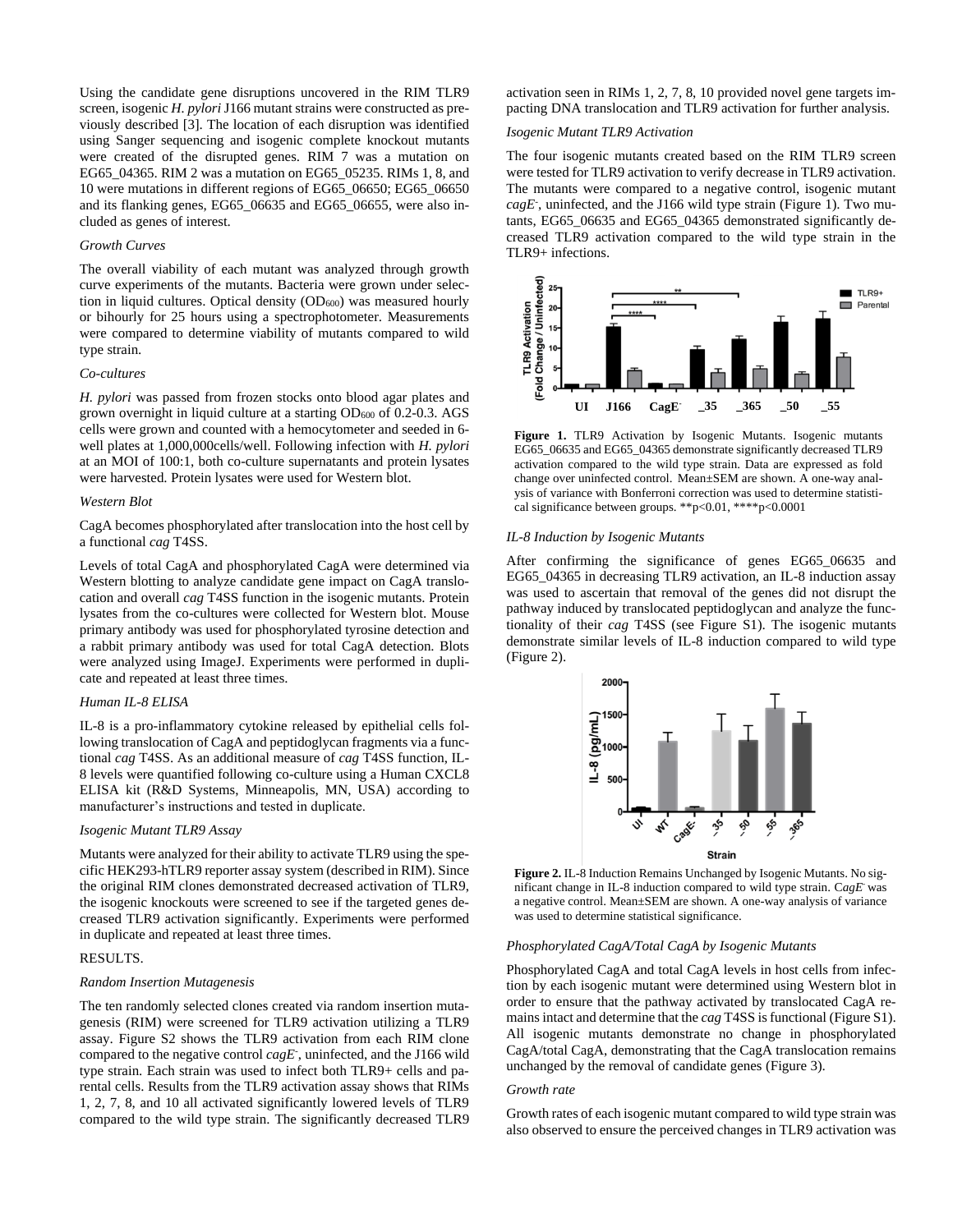Using the candidate gene disruptions uncovered in the RIM TLR9 screen, isogenic *H. pylori* J166 mutant strains were constructed as previously described [3]. The location of each disruption was identified using Sanger sequencing and isogenic complete knockout mutants were created of the disrupted genes. RIM 7 was a mutation on EG65\_04365. RIM 2 was a mutation on EG65\_05235. RIMs 1, 8, and 10 were mutations in different regions of EG65\_06650; EG65\_06650 and its flanking genes, EG65\_06635 and EG65\_06655, were also included as genes of interest.

## *Growth Curves*

The overall viability of each mutant was analyzed through growth curve experiments of the mutants. Bacteria were grown under selection in liquid cultures. Optical density  $(OD<sub>600</sub>)$  was measured hourly or bihourly for 25 hours using a spectrophotometer. Measurements were compared to determine viability of mutants compared to wild type strain.

#### *Co-cultures*

*H. pylori* was passed from frozen stocks onto blood agar plates and grown overnight in liquid culture at a starting OD<sub>600</sub> of 0.2-0.3. AGS cells were grown and counted with a hemocytometer and seeded in 6 well plates at 1,000,000cells/well. Following infection with *H. pylori* at an MOI of 100:1, both co-culture supernatants and protein lysates were harvested. Protein lysates were used for Western blot.

#### *Western Blot*

CagA becomes phosphorylated after translocation into the host cell by a functional *cag* T4SS.

Levels of total CagA and phosphorylated CagA were determined via Western blotting to analyze candidate gene impact on CagA translocation and overall *cag* T4SS function in the isogenic mutants. Protein lysates from the co-cultures were collected for Western blot. Mouse primary antibody was used for phosphorylated tyrosine detection and a rabbit primary antibody was used for total CagA detection. Blots were analyzed using ImageJ. Experiments were performed in duplicate and repeated at least three times.

# *Human IL-8 ELISA*

IL-8 is a pro-inflammatory cytokine released by epithelial cells following translocation of CagA and peptidoglycan fragments via a functional *cag* T4SS. As an additional measure of *cag* T4SS function, IL-8 levels were quantified following co-culture using a Human CXCL8 ELISA kit (R&D Systems, Minneapolis, MN, USA) according to manufacturer's instructions and tested in duplicate.

## *Isogenic Mutant TLR9 Assay*

Mutants were analyzed for their ability to activate TLR9 using the specific HEK293-hTLR9 reporter assay system (described in RIM). Since the original RIM clones demonstrated decreased activation of TLR9, the isogenic knockouts were screened to see if the targeted genes decreased TLR9 activation significantly. Experiments were performed in duplicate and repeated at least three times.

# RESULTS.

# *Random Insertion Mutagenesis*

The ten randomly selected clones created via random insertion mutagenesis (RIM) were screened for TLR9 activation utilizing a TLR9 assay. Figure S2 shows the TLR9 activation from each RIM clone compared to the negative control *cagE*- , uninfected, and the J166 wild type strain. Each strain was used to infect both TLR9+ cells and parental cells. Results from the TLR9 activation assay shows that RIMs 1, 2, 7, 8, and 10 all activated significantly lowered levels of TLR9 compared to the wild type strain. The significantly decreased TLR9

activation seen in RIMs 1, 2, 7, 8, 10 provided novel gene targets impacting DNA translocation and TLR9 activation for further analysis.

## *Isogenic Mutant TLR9 Activation*

The four isogenic mutants created based on the RIM TLR9 screen were tested for TLR9 activation to verify decrease in TLR9 activation. The mutants were compared to a negative control, isogenic mutant *cagE*- , uninfected, and the J166 wild type strain (Figure 1). Two mutants, EG65\_06635 and EG65\_04365 demonstrated significantly decreased TLR9 activation compared to the wild type strain in the TLR9+ infections.



**Figure 1.** TLR9 Activation by Isogenic Mutants. Isogenic mutants EG65\_06635 and EG65\_04365 demonstrate significantly decreased TLR9 activation compared to the wild type strain. Data are expressed as fold change over uninfected control. Mean±SEM are shown. A one-way analysis of variance with Bonferroni correction was used to determine statistical significance between groups. \*\*p<0.01, \*\*\*\*p<0.0001

#### *IL-8 Induction by Isogenic Mutants*

After confirming the significance of genes EG65\_06635 and EG65\_04365 in decreasing TLR9 activation, an IL-8 induction assay was used to ascertain that removal of the genes did not disrupt the pathway induced by translocated peptidoglycan and analyze the functionality of their *cag* T4SS (see Figure S1). The isogenic mutants demonstrate similar levels of IL-8 induction compared to wild type (Figure 2).



**Figure 2.** IL-8 Induction Remains Unchanged by Isogenic Mutants. No significant change in IL-8 induction compared to wild type strain. C*agE*- was a negative control. Mean±SEM are shown. A one-way analysis of variance was used to determine statistical significance.

## *Phosphorylated CagA/Total CagA by Isogenic Mutants*

Phosphorylated CagA and total CagA levels in host cells from infection by each isogenic mutant were determined using Western blot in order to ensure that the pathway activated by translocated CagA remains intact and determine that the *cag* T4SS is functional (Figure S1). All isogenic mutants demonstrate no change in phosphorylated CagA/total CagA, demonstrating that the CagA translocation remains unchanged by the removal of candidate genes (Figure 3).

#### *Growth rate*

Growth rates of each isogenic mutant compared to wild type strain was also observed to ensure the perceived changes in TLR9 activation was